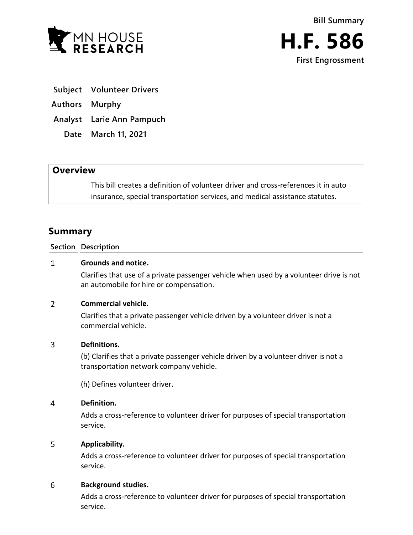

- **Subject Volunteer Drivers**
- **Authors Murphy**
- **Analyst Larie Ann Pampuch**
	- **Date March 11, 2021**

## **Overview**

This bill creates a definition of volunteer driver and cross-references it in auto insurance, special transportation services, and medical assistance statutes.

# **Summary**

### **Section Description**

#### $\mathbf{1}$ **Grounds and notice.**

Clarifies that use of a private passenger vehicle when used by a volunteer drive is not an automobile for hire or compensation.

#### $\overline{2}$ **Commercial vehicle.**

Clarifies that a private passenger vehicle driven by a volunteer driver is not a commercial vehicle.

#### 3 **Definitions.**

(b) Clarifies that a private passenger vehicle driven by a volunteer driver is not a transportation network company vehicle.

(h) Defines volunteer driver.

#### $\overline{4}$ **Definition.**

Adds a cross-reference to volunteer driver for purposes of special transportation service.

#### 5 **Applicability.**

Adds a cross-reference to volunteer driver for purposes of special transportation service.

#### 6 **Background studies.**

Adds a cross-reference to volunteer driver for purposes of special transportation service.